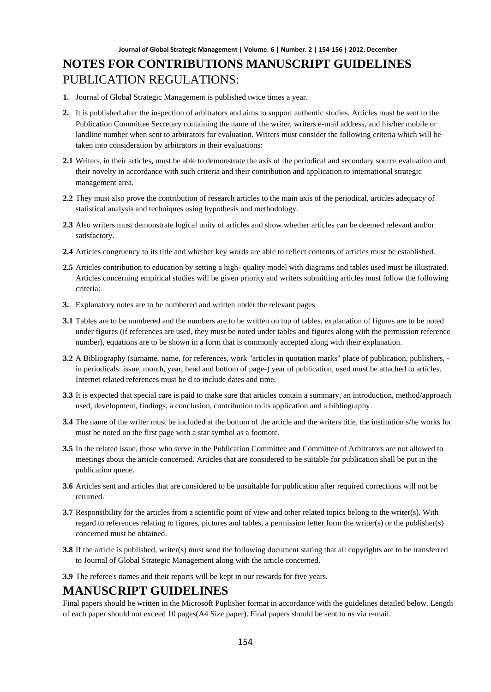- **1.** Journal of Global Strategic Management is published twice times a year.
- **2.** It is published after the inspection of arbitrators and aims to support authentic studies. Articles must be sent to the Publication Committee Secretary containing the name of the writer, writers e-mail address, and his/her mobile or landline number when sent to arbitrators for evaluation. Writers must consider the following criteria which will be taken into consideration by arbitrators in their evaluations:
- **2.1** Writers, in their articles, must be able to demonstrate the axis of the periodical and secondary source evaluation and their novelty in accordance with such criteria and their contribution and application to international strategic management area.
- **2.2** They must also prove the contribution of research articles to the main axis of the periodical, articles adequacy of statistical analysis and techniques using hypothesis and methodology.
- **2.3** Also writers must demonstrate logical unity of articles and show whether articles can be deemed relevant and/or satisfactory.
- **2.4** Articles congruency to its title and whether key words are able to reflect contents of articles must be established.
- **2.5** Articles contribution to education by setting a high- quality model with diagrams and tables used must be illustrated. Articles concerning empirical studies will be given priority and writers submitting articles must follow the following criteria:
- **3.** Explanatory notes are to be numbered and written under the relevant pages.
- **3.1** Tables are to be numbered and the numbers are to be written on top of tables, explanation of figures are to be noted under figures (if references are used, they must be noted under tables and figures along with the permission reference number), equations are to be shown in a form that is commonly accepted along with their explanation.
- **3.2** A Bibliography (surname, name, for references, work "articles in quotation marks" place of publication, publishers, in periodicals: issue, month, year, head and bottom of page-) year of publication, used must be attached to articles. Internet related references must be d to include dates and time.
- **3.3** It is expected that special care is paid to make sure that articles contain a summary, an introduction, method/approach used, development, findings, a conclusion, contribution to its application and a bibliography.
- **3.4** The name of the writer must be included at the bottom of the article and the writers title, the institution s/he works for must be noted on the first page with a star symbol as a footnote.
- **3.5** In the related issue, those who serve in the Publication Committee and Committee of Arbitrators are not allowed to meetings about the article concerned. Articles that are considered to be suitable for publication shall be put in the publication queue.
- **3.6** Articles sent and articles that are considered to be unsuitable for publication after required corrections will not be returned.
- **3.7** Responsibility for the articles from a scientific point of view and other related topics belong to the writer(s). With regard to references relating to figures, pictures and tables, a permission letter form the writer(s) or the publisher(s) concerned must be obtained.
- **3.8** If the article is published, writer(s) must send the following document stating that all copyrights are to be transferred to Journal of Global Strategic Management along with the article concerned.
- **3.9** The referee's names and their reports will be kept in our rewards for five years.

### **MANUSCRIPT GUIDELINES**

Final papers should be written in the Microsoft Puplisher format in accordance with the guidelines detailed below. Length of each paper should not exceed 10 pages(A4 Size paper). Final papers should be sent to us via e-mail.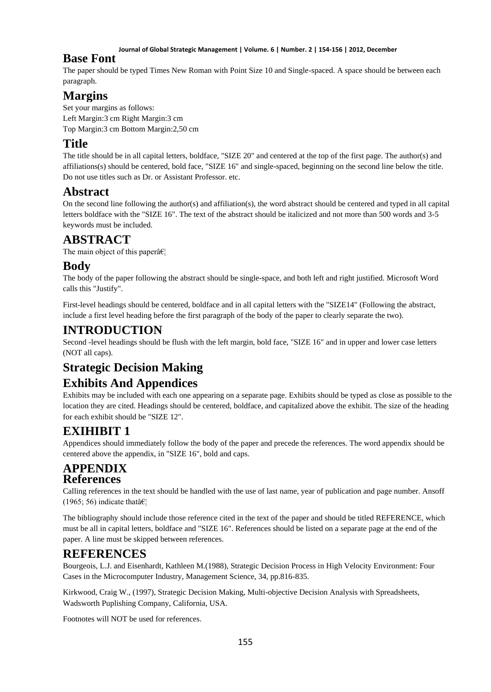#### **Journal of Global Strategic Management | Volume. 6 | Number. 2 | 154-156 | 2012, December**

### **Base Font**

The paper should be typed Times New Roman with Point Size 10 and Single-spaced. A space should be between each paragraph.

# **Margins**

Set your margins as follows: Left Margin:3 cm Right Margin:3 cm Top Margin:3 cm Bottom Margin:2,50 cm

# **Title**

The title should be in all capital letters, boldface, "SIZE 20" and centered at the top of the first page. The author(s) and affiliations(s) should be centered, bold face, "SIZE 16" and single-spaced, beginning on the second line below the title. Do not use titles such as Dr. or Assistant Professor. etc.

## **Abstract**

On the second line following the author(s) and affiliation(s), the word abstract should be centered and typed in all capital letters boldface with the "SIZE 16". The text of the abstract should be italicized and not more than 500 words and 3-5 keywords must be included.

## **ABSTRACT**

The main object of this paper $\hat{a} \in \mathcal{C}_1$ 

### **Body**

The body of the paper following the abstract should be single-space, and both left and right justified. Microsoft Word calls this "Justify".

First-level headings should be centered, boldface and in all capital letters with the "SIZE14" (Following the abstract, include a first level heading before the first paragraph of the body of the paper to clearly separate the two).

### **INTRODUCTION**

Second -level headings should be flush with the left margin, bold face, "SIZE 16" and in upper and lower case letters (NOT all caps).

# **Strategic Decision Making**

# **Exhibits And Appendices**

Exhibits may be included with each one appearing on a separate page. Exhibits should be typed as close as possible to the location they are cited. Headings should be centered, boldface, and capitalized above the exhibit. The size of the heading for each exhibit should be "SIZE 12".

# **EXIHIBIT 1**

Appendices should immediately follow the body of the paper and precede the references. The word appendix should be centered above the appendix, in "SIZE 16", bold and caps.

### **APPENDIX References**

Calling references in the text should be handled with the use of last name, year of publication and page number. Ansoff (1965; 56) indicate that  $\hat{\mathbf{a}} \in \mathbb{R}^n$ 

The bibliography should include those reference cited in the text of the paper and should be titled REFERENCE, which must be all in capital letters, boldface and "SIZE 16". References should be listed on a separate page at the end of the paper. A line must be skipped between references.

# **REFERENCES**

Bourgeois, L.J. and Eisenhardt, Kathleen M.(1988), Strategic Decision Process in High Velocity Environment: Four Cases in the Microcomputer Industry, Management Science, 34, pp.816-835.

Kirkwood, Craig W., (1997), Strategic Decision Making, Multi-objective Decision Analysis with Spreadsheets, Wadsworth Puplishing Company, California, USA.

Footnotes will NOT be used for references.